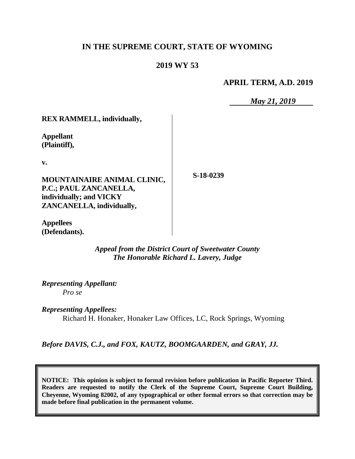## **IN THE SUPREME COURT, STATE OF WYOMING**

### **2019 WY 53**

**APRIL TERM, A.D. 2019**

*May 21, 2019*

**REX RAMMELL, individually,**

**Appellant (Plaintiff),**

**v.**

**MOUNTAINAIRE ANIMAL CLINIC, P.C.; PAUL ZANCANELLA, individually; and VICKY ZANCANELLA, individually,**

**S-18-0239**

**Appellees (Defendants).**

> *Appeal from the District Court of Sweetwater County The Honorable Richard L. Lavery, Judge*

*Representing Appellant: Pro se*

*Representing Appellees:*

Richard H. Honaker, Honaker Law Offices, LC, Rock Springs, Wyoming

*Before DAVIS, C.J., and FOX, KAUTZ, BOOMGAARDEN, and GRAY, JJ.*

**NOTICE: This opinion is subject to formal revision before publication in Pacific Reporter Third. Readers are requested to notify the Clerk of the Supreme Court, Supreme Court Building, Cheyenne, Wyoming 82002, of any typographical or other formal errors so that correction may be made before final publication in the permanent volume.**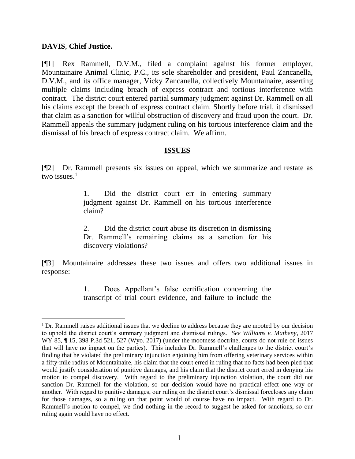#### **DAVIS**, **Chief Justice.**

l

[¶1] Rex Rammell, D.V.M., filed a complaint against his former employer, Mountainaire Animal Clinic, P.C., its sole shareholder and president, Paul Zancanella, D.V.M., and its office manager, Vicky Zancanella, collectively Mountainaire, asserting multiple claims including breach of express contract and tortious interference with contract. The district court entered partial summary judgment against Dr. Rammell on all his claims except the breach of express contract claim. Shortly before trial, it dismissed that claim as a sanction for willful obstruction of discovery and fraud upon the court. Dr. Rammell appeals the summary judgment ruling on his tortious interference claim and the dismissal of his breach of express contract claim. We affirm.

#### **ISSUES**

[¶2] Dr. Rammell presents six issues on appeal, which we summarize and restate as two issues. $1$ 

> 1. Did the district court err in entering summary judgment against Dr. Rammell on his tortious interference claim?

> 2. Did the district court abuse its discretion in dismissing Dr. Rammell's remaining claims as a sanction for his discovery violations?

[¶3] Mountainaire addresses these two issues and offers two additional issues in response:

> 1. Does Appellant's false certification concerning the transcript of trial court evidence, and failure to include the

<sup>&</sup>lt;sup>1</sup> Dr. Rammell raises additional issues that we decline to address because they are mooted by our decision to uphold the district court's summary judgment and dismissal rulings. *See Williams v. Matheny*, 2017 WY 85,  $\parallel$  15, 398 P.3d 521, 527 (Wyo. 2017) (under the mootness doctrine, courts do not rule on issues that will have no impact on the parties). This includes Dr. Rammell's challenges to the district court's finding that he violated the preliminary injunction enjoining him from offering veterinary services within a fifty-mile radius of Mountainaire, his claim that the court erred in ruling that no facts had been pled that would justify consideration of punitive damages, and his claim that the district court erred in denying his motion to compel discovery. With regard to the preliminary injunction violation, the court did not sanction Dr. Rammell for the violation, so our decision would have no practical effect one way or another. With regard to punitive damages, our ruling on the district court's dismissal forecloses any claim for those damages, so a ruling on that point would of course have no impact. With regard to Dr. Rammell's motion to compel, we find nothing in the record to suggest he asked for sanctions, so our ruling again would have no effect.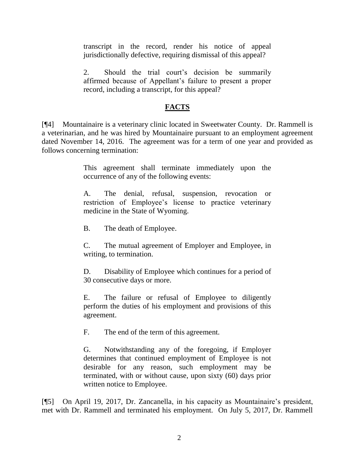transcript in the record, render his notice of appeal jurisdictionally defective, requiring dismissal of this appeal?

2. Should the trial court's decision be summarily affirmed because of Appellant's failure to present a proper record, including a transcript, for this appeal?

# **FACTS**

[¶4] Mountainaire is a veterinary clinic located in Sweetwater County. Dr. Rammell is a veterinarian, and he was hired by Mountainaire pursuant to an employment agreement dated November 14, 2016. The agreement was for a term of one year and provided as follows concerning termination:

> This agreement shall terminate immediately upon the occurrence of any of the following events:

> A. The denial, refusal, suspension, revocation or restriction of Employee's license to practice veterinary medicine in the State of Wyoming.

B. The death of Employee.

C. The mutual agreement of Employer and Employee, in writing, to termination.

D. Disability of Employee which continues for a period of 30 consecutive days or more.

E. The failure or refusal of Employee to diligently perform the duties of his employment and provisions of this agreement.

F. The end of the term of this agreement.

G. Notwithstanding any of the foregoing, if Employer determines that continued employment of Employee is not desirable for any reason, such employment may be terminated, with or without cause, upon sixty (60) days prior written notice to Employee.

[¶5] On April 19, 2017, Dr. Zancanella, in his capacity as Mountainaire's president, met with Dr. Rammell and terminated his employment. On July 5, 2017, Dr. Rammell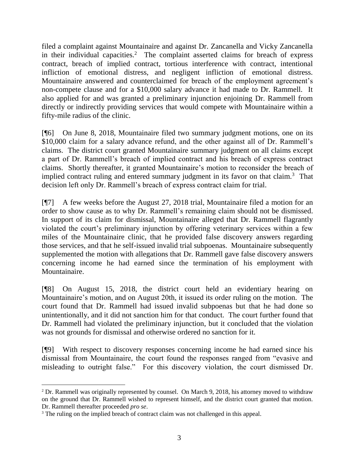filed a complaint against Mountainaire and against Dr. Zancanella and Vicky Zancanella in their individual capacities.<sup>2</sup> The complaint asserted claims for breach of express contract, breach of implied contract, tortious interference with contract, intentional infliction of emotional distress, and negligent infliction of emotional distress. Mountainaire answered and counterclaimed for breach of the employment agreement's non-compete clause and for a \$10,000 salary advance it had made to Dr. Rammell. It also applied for and was granted a preliminary injunction enjoining Dr. Rammell from directly or indirectly providing services that would compete with Mountainaire within a fifty-mile radius of the clinic.

[¶6] On June 8, 2018, Mountainaire filed two summary judgment motions, one on its \$10,000 claim for a salary advance refund, and the other against all of Dr. Rammell's claims. The district court granted Mountainaire summary judgment on all claims except a part of Dr. Rammell's breach of implied contract and his breach of express contract claims. Shortly thereafter, it granted Mountainaire's motion to reconsider the breach of implied contract ruling and entered summary judgment in its favor on that claim.<sup>3</sup> That decision left only Dr. Rammell's breach of express contract claim for trial.

[¶7] A few weeks before the August 27, 2018 trial, Mountainaire filed a motion for an order to show cause as to why Dr. Rammell's remaining claim should not be dismissed. In support of its claim for dismissal, Mountainaire alleged that Dr. Rammell flagrantly violated the court's preliminary injunction by offering veterinary services within a few miles of the Mountainaire clinic, that he provided false discovery answers regarding those services, and that he self-issued invalid trial subpoenas. Mountainaire subsequently supplemented the motion with allegations that Dr. Rammell gave false discovery answers concerning income he had earned since the termination of his employment with Mountainaire.

[¶8] On August 15, 2018, the district court held an evidentiary hearing on Mountainaire's motion, and on August 20th, it issued its order ruling on the motion. The court found that Dr. Rammell had issued invalid subpoenas but that he had done so unintentionally, and it did not sanction him for that conduct. The court further found that Dr. Rammell had violated the preliminary injunction, but it concluded that the violation was not grounds for dismissal and otherwise ordered no sanction for it.

[¶9] With respect to discovery responses concerning income he had earned since his dismissal from Mountainaire, the court found the responses ranged from "evasive and misleading to outright false." For this discovery violation, the court dismissed Dr.

 <sup>2</sup> Dr. Rammell was originally represented by counsel. On March 9, 2018, his attorney moved to withdraw on the ground that Dr. Rammell wished to represent himself, and the district court granted that motion. Dr. Rammell thereafter proceeded *pro se*.

<sup>&</sup>lt;sup>3</sup> The ruling on the implied breach of contract claim was not challenged in this appeal.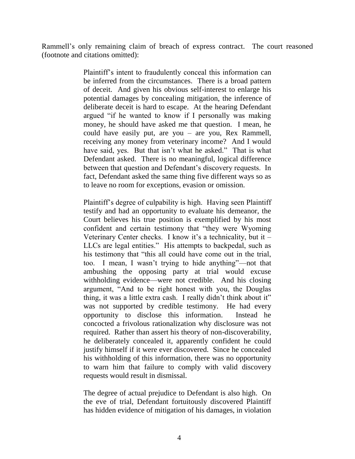Rammell's only remaining claim of breach of express contract. The court reasoned (footnote and citations omitted):

> Plaintiff's intent to fraudulently conceal this information can be inferred from the circumstances. There is a broad pattern of deceit. And given his obvious self-interest to enlarge his potential damages by concealing mitigation, the inference of deliberate deceit is hard to escape. At the hearing Defendant argued "if he wanted to know if I personally was making money, he should have asked me that question. I mean, he could have easily put, are you – are you, Rex Rammell, receiving any money from veterinary income? And I would have said, yes. But that isn't what he asked." That is what Defendant asked. There is no meaningful, logical difference between that question and Defendant's discovery requests. In fact, Defendant asked the same thing five different ways so as to leave no room for exceptions, evasion or omission.

> Plaintiff's degree of culpability is high. Having seen Plaintiff testify and had an opportunity to evaluate his demeanor, the Court believes his true position is exemplified by his most confident and certain testimony that "they were Wyoming Veterinary Center checks. I know it's a technicality, but it – LLCs are legal entities." His attempts to backpedal, such as his testimony that "this all could have come out in the trial, too. I mean, I wasn't trying to hide anything"—not that ambushing the opposing party at trial would excuse withholding evidence—were not credible. And his closing argument, "And to be right honest with you, the Douglas thing, it was a little extra cash. I really didn't think about it" was not supported by credible testimony. He had every opportunity to disclose this information. Instead he concocted a frivolous rationalization why disclosure was not required. Rather than assert his theory of non-discoverability, he deliberately concealed it, apparently confident he could justify himself if it were ever discovered. Since he concealed his withholding of this information, there was no opportunity to warn him that failure to comply with valid discovery requests would result in dismissal.

> The degree of actual prejudice to Defendant is also high. On the eve of trial, Defendant fortuitously discovered Plaintiff has hidden evidence of mitigation of his damages, in violation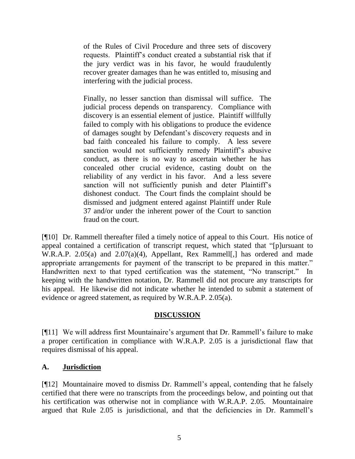of the Rules of Civil Procedure and three sets of discovery requests. Plaintiff's conduct created a substantial risk that if the jury verdict was in his favor, he would fraudulently recover greater damages than he was entitled to, misusing and interfering with the judicial process.

Finally, no lesser sanction than dismissal will suffice. The judicial process depends on transparency. Compliance with discovery is an essential element of justice. Plaintiff willfully failed to comply with his obligations to produce the evidence of damages sought by Defendant's discovery requests and in bad faith concealed his failure to comply. A less severe sanction would not sufficiently remedy Plaintiff's abusive conduct, as there is no way to ascertain whether he has concealed other crucial evidence, casting doubt on the reliability of any verdict in his favor. And a less severe sanction will not sufficiently punish and deter Plaintiff's dishonest conduct. The Court finds the complaint should be dismissed and judgment entered against Plaintiff under Rule 37 and/or under the inherent power of the Court to sanction fraud on the court.

[¶10] Dr. Rammell thereafter filed a timely notice of appeal to this Court. His notice of appeal contained a certification of transcript request, which stated that "[p]ursuant to W.R.A.P. 2.05(a) and 2.07(a)(4), Appellant, Rex Rammell[,] has ordered and made appropriate arrangements for payment of the transcript to be prepared in this matter." Handwritten next to that typed certification was the statement, "No transcript." In keeping with the handwritten notation, Dr. Rammell did not procure any transcripts for his appeal. He likewise did not indicate whether he intended to submit a statement of evidence or agreed statement, as required by W.R.A.P. 2.05(a).

### **DISCUSSION**

[¶11] We will address first Mountainaire's argument that Dr. Rammell's failure to make a proper certification in compliance with W.R.A.P. 2.05 is a jurisdictional flaw that requires dismissal of his appeal.

### **A. Jurisdiction**

[¶12] Mountainaire moved to dismiss Dr. Rammell's appeal, contending that he falsely certified that there were no transcripts from the proceedings below, and pointing out that his certification was otherwise not in compliance with W.R.A.P. 2.05. Mountainaire argued that Rule 2.05 is jurisdictional, and that the deficiencies in Dr. Rammell's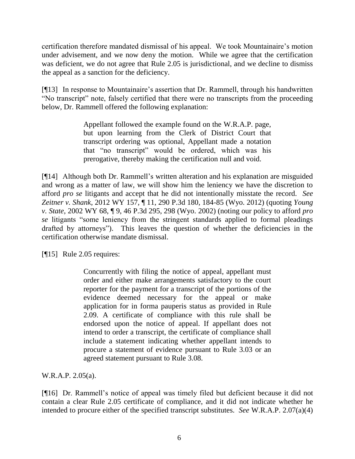certification therefore mandated dismissal of his appeal. We took Mountainaire's motion under advisement, and we now deny the motion. While we agree that the certification was deficient, we do not agree that Rule 2.05 is jurisdictional, and we decline to dismiss the appeal as a sanction for the deficiency.

[¶13] In response to Mountainaire's assertion that Dr. Rammell, through his handwritten "No transcript" note, falsely certified that there were no transcripts from the proceeding below, Dr. Rammell offered the following explanation:

> Appellant followed the example found on the W.R.A.P. page, but upon learning from the Clerk of District Court that transcript ordering was optional, Appellant made a notation that "no transcript" would be ordered, which was his prerogative, thereby making the certification null and void.

[¶14] Although both Dr. Rammell's written alteration and his explanation are misguided and wrong as a matter of law, we will show him the leniency we have the discretion to afford *pro se* litigants and accept that he did not intentionally misstate the record. *See Zeitner v. Shank*, 2012 WY 157, ¶ 11, 290 P.3d 180, 184-85 (Wyo. 2012) (quoting *[Young](http://www.westlaw.com/Link/Document/FullText?findType=Y&serNum=2002291428&pubNum=0004645&originatingDoc=I554494ed455911e28a21ccb9036b2470&refType=RP&fi=co_pp_sp_4645_298&originationContext=document&vr=3.0&rs=cblt1.0&transitionType=DocumentItem&contextData=(sc.Keycite)#co_pp_sp_4645_298)  v. State*[, 2002 WY 68, ¶ 9, 46 P.3d 295, 298 \(Wyo.](http://www.westlaw.com/Link/Document/FullText?findType=Y&serNum=2002291428&pubNum=0004645&originatingDoc=I554494ed455911e28a21ccb9036b2470&refType=RP&fi=co_pp_sp_4645_298&originationContext=document&vr=3.0&rs=cblt1.0&transitionType=DocumentItem&contextData=(sc.Keycite)#co_pp_sp_4645_298) 2002) (noting our policy to afford *pro se* litigants "some leniency from the stringent standards applied to formal pleadings drafted by attorneys"). This leaves the question of whether the deficiencies in the certification otherwise mandate dismissal.

[¶15] Rule 2.05 requires:

Concurrently with filing the notice of appeal, appellant must order and either make arrangements satisfactory to the court reporter for the payment for a transcript of the portions of the evidence deemed necessary for the appeal or make application for in forma pauperis status as provided in [Rule](http://www.westlaw.com/Link/Document/FullText?findType=L&pubNum=1008793&cite=WYRRAPR2.09&originatingDoc=N4BAAAD701B6011DD91439915CDABBB1A&refType=LQ&originationContext=document&vr=3.0&rs=cblt1.0&transitionType=DocumentItem&contextData=(sc.Category))  [2.09.](http://www.westlaw.com/Link/Document/FullText?findType=L&pubNum=1008793&cite=WYRRAPR2.09&originatingDoc=N4BAAAD701B6011DD91439915CDABBB1A&refType=LQ&originationContext=document&vr=3.0&rs=cblt1.0&transitionType=DocumentItem&contextData=(sc.Category)) A certificate of compliance with this rule shall be endorsed upon the notice of appeal. If appellant does not intend to order a transcript, the certificate of compliance shall include a statement indicating whether appellant intends to procure a statement of evidence pursuant to [Rule 3.03](http://www.westlaw.com/Link/Document/FullText?findType=L&pubNum=1008793&cite=WYRRAPR3.03&originatingDoc=N4BAAAD701B6011DD91439915CDABBB1A&refType=LQ&originationContext=document&vr=3.0&rs=cblt1.0&transitionType=DocumentItem&contextData=(sc.Category)) or an agreed statement pursuant to [Rule 3.08.](http://www.westlaw.com/Link/Document/FullText?findType=L&pubNum=1008793&cite=WYRRAPR3.08&originatingDoc=N4BAAAD701B6011DD91439915CDABBB1A&refType=LQ&originationContext=document&vr=3.0&rs=cblt1.0&transitionType=DocumentItem&contextData=(sc.Category))

W.R.A.P. 2.05(a).

[¶16] Dr. Rammell's notice of appeal was timely filed but deficient because it did not contain a clear Rule 2.05 certificate of compliance, and it did not indicate whether he intended to procure either of the specified transcript substitutes. *See* W.R.A.P. 2.07(a)(4)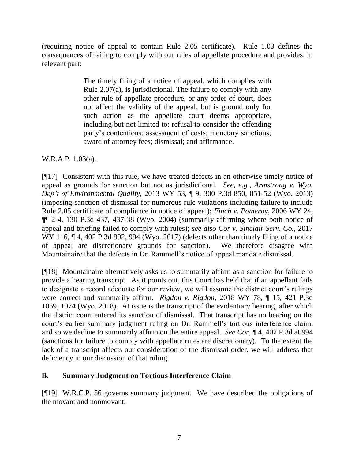(requiring notice of appeal to contain Rule 2.05 certificate). Rule 1.03 defines the consequences of failing to comply with our rules of appellate procedure and provides, in relevant part:

> The timely filing of a notice of appeal, which complies with [Rule 2.07\(a\),](http://www.westlaw.com/Link/Document/FullText?findType=L&pubNum=1008793&cite=WYRRAPR2.07&originatingDoc=N494BFCF01B6011DD91439915CDABBB1A&refType=LQ&originationContext=document&vr=3.0&rs=cblt1.0&transitionType=DocumentItem&contextData=(sc.Category)) is jurisdictional. The failure to comply with any other rule of appellate procedure, or any order of court, does not affect the validity of the appeal, but is ground only for such action as the appellate court deems appropriate, including but not limited to: refusal to consider the offending party's contentions; assessment of costs; monetary sanctions; award of attorney fees; dismissal; and affirmance.

### W.R.A.P. 1.03(a).

[¶17] Consistent with this rule, we have treated defects in an otherwise timely notice of appeal as grounds for sanction but not as jurisdictional. *See, e.g.*, *Armstrong v. Wyo. Dep't of Environmental Quality*, 2013 WY 53, ¶ 9, 300 P.3d 850, 851-52 (Wyo. 2013) (imposing sanction of dismissal for numerous rule violations including failure to include Rule 2.05 certificate of compliance in notice of appeal); *Finch v. Pomeroy*, 2006 WY 24, ¶¶ 2-4, 130 P.3d 437, 437-38 (Wyo. 2004) (summarily affirming where both notice of appeal and briefing failed to comply with rules); *see also Cor v. Sinclair Serv. Co.*, 2017 WY 116,  $\P$  4, 402 P.3d 992, 994 (Wyo. 2017) (defects other than timely filing of a notice of appeal are discretionary grounds for sanction). We therefore disagree with Mountainaire that the defects in Dr. Rammell's notice of appeal mandate dismissal.

[¶18] Mountainaire alternatively asks us to summarily affirm as a sanction for failure to provide a hearing transcript. As it points out, this Court has held that if an appellant fails to designate a record adequate for our review, we will assume the district court's rulings were correct and summarily affirm. *Rigdon v. Rigdon*, 2018 WY 78, ¶ 15, 421 P.3d 1069, 1074 (Wyo. 2018). At issue is the transcript of the evidentiary hearing, after which the district court entered its sanction of dismissal. That transcript has no bearing on the court's earlier summary judgment ruling on Dr. Rammell's tortious interference claim, and so we decline to summarily affirm on the entire appeal. *See Cor*, ¶ 4, 402 P.3d at 994 (sanctions for failure to comply with appellate rules are discretionary). To the extent the lack of a transcript affects our consideration of the dismissal order, we will address that deficiency in our discussion of that ruling.

# **B. Summary Judgment on Tortious Interference Claim**

[¶19] W.R.C.P. 56 governs summary judgment. We have described the obligations of the movant and nonmovant.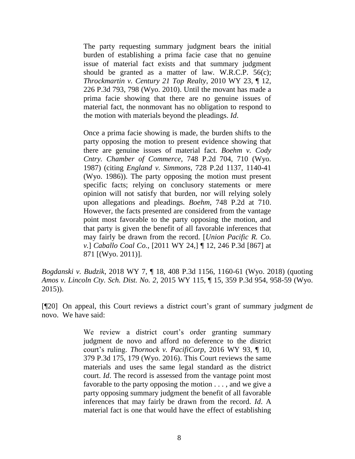The party requesting summary judgment bears the initial burden of establishing a prima facie case that no genuine issue of material fact exists and that summary judgment should be granted as a matter of law. [W.R.C.P. 56\(c\);](http://www.westlaw.com/Link/Document/FullText?findType=L&pubNum=1008760&cite=WYRRCPR56&originatingDoc=If00747d0015f11e88338c2a2b93e47e8&refType=LQ&originationContext=document&vr=3.0&rs=cblt1.0&transitionType=DocumentItem&contextData=(sc.Search)) *[Throckmartin v. Century 21 Top Realty](http://www.westlaw.com/Link/Document/FullText?findType=Y&serNum=2021462144&pubNum=0004645&originatingDoc=If00747d0015f11e88338c2a2b93e47e8&refType=RP&fi=co_pp_sp_4645_798&originationContext=document&vr=3.0&rs=cblt1.0&transitionType=DocumentItem&contextData=(sc.Search)#co_pp_sp_4645_798)*, 2010 WY 23, ¶ 12, [226 P.3d 793, 798 \(Wyo. 2010\).](http://www.westlaw.com/Link/Document/FullText?findType=Y&serNum=2021462144&pubNum=0004645&originatingDoc=If00747d0015f11e88338c2a2b93e47e8&refType=RP&fi=co_pp_sp_4645_798&originationContext=document&vr=3.0&rs=cblt1.0&transitionType=DocumentItem&contextData=(sc.Search)#co_pp_sp_4645_798) Until the movant has made a prima facie showing that there are no genuine issues of material fact, the nonmovant has no obligation to respond to the motion with materials beyond the pleadings. *[Id](http://www.westlaw.com/Link/Document/FullText?findType=Y&serNum=2021462144&pubNum=0006431&originatingDoc=If00747d0015f11e88338c2a2b93e47e8&refType=RP&originationContext=document&vr=3.0&rs=cblt1.0&transitionType=DocumentItem&contextData=(sc.Search))*.

Once a prima facie showing is made, the burden shifts to the party opposing the motion to present evidence showing that there are genuine issues of material fact. *[Boehm v. Cody](http://www.westlaw.com/Link/Document/FullText?findType=Y&serNum=1988003696&pubNum=0000661&originatingDoc=If00747d0015f11e88338c2a2b93e47e8&refType=RP&fi=co_pp_sp_661_710&originationContext=document&vr=3.0&rs=cblt1.0&transitionType=DocumentItem&contextData=(sc.Search)#co_pp_sp_661_710)  [Cntry. Chamber of Commerce](http://www.westlaw.com/Link/Document/FullText?findType=Y&serNum=1988003696&pubNum=0000661&originatingDoc=If00747d0015f11e88338c2a2b93e47e8&refType=RP&fi=co_pp_sp_661_710&originationContext=document&vr=3.0&rs=cblt1.0&transitionType=DocumentItem&contextData=(sc.Search)#co_pp_sp_661_710)*, 748 P.2d 704, 710 (Wyo. [1987\)](http://www.westlaw.com/Link/Document/FullText?findType=Y&serNum=1988003696&pubNum=0000661&originatingDoc=If00747d0015f11e88338c2a2b93e47e8&refType=RP&fi=co_pp_sp_661_710&originationContext=document&vr=3.0&rs=cblt1.0&transitionType=DocumentItem&contextData=(sc.Search)#co_pp_sp_661_710) (citing *England v. Simmons*[, 728 P.2d 1137, 1140-41](http://www.westlaw.com/Link/Document/FullText?findType=Y&serNum=1986159292&pubNum=0000661&originatingDoc=If00747d0015f11e88338c2a2b93e47e8&refType=RP&fi=co_pp_sp_661_1140&originationContext=document&vr=3.0&rs=cblt1.0&transitionType=DocumentItem&contextData=(sc.Search)#co_pp_sp_661_1140)  [\(Wyo. 1986\)\)](http://www.westlaw.com/Link/Document/FullText?findType=Y&serNum=1986159292&pubNum=0000661&originatingDoc=If00747d0015f11e88338c2a2b93e47e8&refType=RP&fi=co_pp_sp_661_1140&originationContext=document&vr=3.0&rs=cblt1.0&transitionType=DocumentItem&contextData=(sc.Search)#co_pp_sp_661_1140). The party opposing the motion must present specific facts; relying on conclusory statements or mere opinion will not satisfy that burden, nor will relying solely upon allegations and pleadings. *Boehm*[, 748 P.2d at 710.](http://www.westlaw.com/Link/Document/FullText?findType=Y&serNum=1988003696&pubNum=0000661&originatingDoc=If00747d0015f11e88338c2a2b93e47e8&refType=RP&fi=co_pp_sp_661_710&originationContext=document&vr=3.0&rs=cblt1.0&transitionType=DocumentItem&contextData=(sc.Search)#co_pp_sp_661_710) However, the facts presented are considered from the vantage point most favorable to the party opposing the motion, and that party is given the benefit of all favorable inferences that may fairly be drawn from the record. [*[Union Pacific R. Co.](http://www.westlaw.com/Link/Document/FullText?findType=Y&serNum=2024580781&pubNum=0004645&originatingDoc=If00747d0015f11e88338c2a2b93e47e8&refType=RP&fi=co_pp_sp_4645_871&originationContext=document&vr=3.0&rs=cblt1.0&transitionType=DocumentItem&contextData=(sc.Search)#co_pp_sp_4645_871)  v.*] *Caballo Coal Co.*[, \[2011 WY 24,\] ¶ 12, 246 P.3d \[867\] at](http://www.westlaw.com/Link/Document/FullText?findType=Y&serNum=2024580781&pubNum=0004645&originatingDoc=If00747d0015f11e88338c2a2b93e47e8&refType=RP&fi=co_pp_sp_4645_871&originationContext=document&vr=3.0&rs=cblt1.0&transitionType=DocumentItem&contextData=(sc.Search)#co_pp_sp_4645_871)  [871 \[\(Wyo. 2011\)\]](http://www.westlaw.com/Link/Document/FullText?findType=Y&serNum=2024580781&pubNum=0004645&originatingDoc=If00747d0015f11e88338c2a2b93e47e8&refType=RP&fi=co_pp_sp_4645_871&originationContext=document&vr=3.0&rs=cblt1.0&transitionType=DocumentItem&contextData=(sc.Search)#co_pp_sp_4645_871).

*Bogdanski v. Budzik*, 2018 WY 7, ¶ 18, 408 P.3d 1156, 1160-61 (Wyo. 2018) (quoting *Amos v. Lincoln Cty. Sch. Dist. No. 2*[, 2015 WY 115, ¶ 15, 359 P.3d 954, 958-59 \(Wyo.](http://www.westlaw.com/Link/Document/FullText?findType=Y&serNum=2036938590&pubNum=0004645&originatingDoc=If00747d0015f11e88338c2a2b93e47e8&refType=RP&fi=co_pp_sp_4645_958&originationContext=document&vr=3.0&rs=cblt1.0&transitionType=DocumentItem&contextData=(sc.Search)#co_pp_sp_4645_958) [2015\)\)](http://www.westlaw.com/Link/Document/FullText?findType=Y&serNum=2036938590&pubNum=0004645&originatingDoc=If00747d0015f11e88338c2a2b93e47e8&refType=RP&fi=co_pp_sp_4645_958&originationContext=document&vr=3.0&rs=cblt1.0&transitionType=DocumentItem&contextData=(sc.Search)#co_pp_sp_4645_958).

[¶20] On appeal, this Court reviews a district court's grant of summary judgment de novo. We have said:

> We review a district court's order granting summary judgment de novo and afford no deference to the district court's ruling. *Thornock v. PacifiCorp*[, 2016 WY 93, ¶ 10,](http://www.westlaw.com/Link/Document/FullText?findType=Y&serNum=2039785923&pubNum=0004645&originatingDoc=I050886c0192511e9a573b12ad1dad226&refType=RP&fi=co_pp_sp_4645_179&originationContext=document&vr=3.0&rs=cblt1.0&transitionType=DocumentItem&contextData=(sc.Search)#co_pp_sp_4645_179)  [379 P.3d 175, 179 \(Wyo. 2016\).](http://www.westlaw.com/Link/Document/FullText?findType=Y&serNum=2039785923&pubNum=0004645&originatingDoc=I050886c0192511e9a573b12ad1dad226&refType=RP&fi=co_pp_sp_4645_179&originationContext=document&vr=3.0&rs=cblt1.0&transitionType=DocumentItem&contextData=(sc.Search)#co_pp_sp_4645_179) This Court reviews the same materials and uses the same legal standard as the district court. *[Id](http://www.westlaw.com/Link/Document/FullText?findType=Y&serNum=2039785923&pubNum=0006431&originatingDoc=I050886c0192511e9a573b12ad1dad226&refType=RP&originationContext=document&vr=3.0&rs=cblt1.0&transitionType=DocumentItem&contextData=(sc.Search))*. The record is assessed from the vantage point most favorable to the party opposing the motion . . . , and we give a party opposing summary judgment the benefit of all favorable inferences that may fairly be drawn from the record. *[Id](http://www.westlaw.com/Link/Document/FullText?findType=Y&serNum=2039785923&pubNum=0006431&originatingDoc=I050886c0192511e9a573b12ad1dad226&refType=RP&originationContext=document&vr=3.0&rs=cblt1.0&transitionType=DocumentItem&contextData=(sc.Search))*. A material fact is one that would have the effect of establishing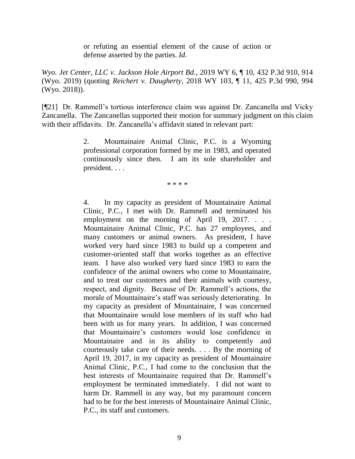or refuting an essential element of the cause of action or defense asserted by the parties. *[Id](http://www.westlaw.com/Link/Document/FullText?findType=Y&serNum=2039785923&pubNum=0006431&originatingDoc=I050886c0192511e9a573b12ad1dad226&refType=RP&originationContext=document&vr=3.0&rs=cblt1.0&transitionType=DocumentItem&contextData=(sc.Search))*.

*Wyo. Jet Center, LLC v. Jackson Hole Airport Bd.*, 2019 WY 6, ¶ 10, 432 P.3d 910, 914 (Wyo. 2019) (quoting *Reichert v. Daugherty*[, 2018 WY 103, ¶ 11, 425 P.3d 990, 994](http://www.westlaw.com/Link/Document/FullText?findType=Y&serNum=2045408383&pubNum=0004645&originatingDoc=I050886c0192511e9a573b12ad1dad226&refType=RP&fi=co_pp_sp_4645_994&originationContext=document&vr=3.0&rs=cblt1.0&transitionType=DocumentItem&contextData=(sc.Search)#co_pp_sp_4645_994)  [\(Wyo. 2018\)\)](http://www.westlaw.com/Link/Document/FullText?findType=Y&serNum=2045408383&pubNum=0004645&originatingDoc=I050886c0192511e9a573b12ad1dad226&refType=RP&fi=co_pp_sp_4645_994&originationContext=document&vr=3.0&rs=cblt1.0&transitionType=DocumentItem&contextData=(sc.Search)#co_pp_sp_4645_994).

[¶21] Dr. Rammell's tortious interference claim was against Dr. Zancanella and Vicky Zancanella. The Zancanellas supported their motion for summary judgment on this claim with their affidavits. Dr. Zancanella's affidavit stated in relevant part:

> 2. Mountainaire Animal Clinic, P.C. is a Wyoming professional corporation formed by me in 1983, and operated continuously since then. I am its sole shareholder and president. . . .

> > \* \* \* \*

4. In my capacity as president of Mountainaire Animal Clinic, P.C., I met with Dr. Rammell and terminated his employment on the morning of April 19, 2017. . . . Mountainaire Animal Clinic, P.C. has 27 employees, and many customers or animal owners. As president, I have worked very hard since 1983 to build up a competent and customer-oriented staff that works together as an effective team. I have also worked very hard since 1983 to earn the confidence of the animal owners who come to Mountainaire, and to treat our customers and their animals with courtesy, respect, and dignity. Because of Dr. Rammell's actions, the morale of Mountainaire's staff was seriously deteriorating. In my capacity as president of Mountainaire, I was concerned that Mountainaire would lose members of its staff who had been with us for many years. In addition, I was concerned that Mountainaire's customers would lose confidence in Mountainaire and in its ability to competently and courteously take care of their needs. . . . By the morning of April 19, 2017, in my capacity as president of Mountainaire Animal Clinic, P.C., I had come to the conclusion that the best interests of Mountainaire required that Dr. Rammell's employment be terminated immediately. I did not want to harm Dr. Rammell in any way, but my paramount concern had to be for the best interests of Mountainaire Animal Clinic, P.C., its staff and customers.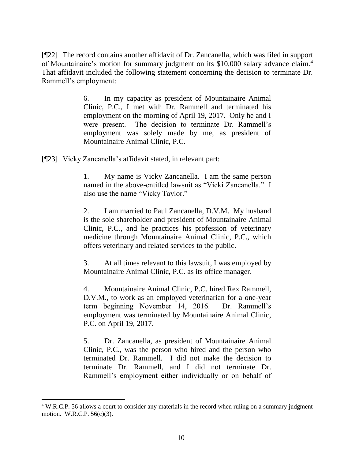[¶22] The record contains another affidavit of Dr. Zancanella, which was filed in support of Mountainaire's motion for summary judgment on its \$10,000 salary advance claim.<sup>4</sup> That affidavit included the following statement concerning the decision to terminate Dr. Rammell's employment:

> 6. In my capacity as president of Mountainaire Animal Clinic, P.C., I met with Dr. Rammell and terminated his employment on the morning of April 19, 2017. Only he and I were present. The decision to terminate Dr. Rammell's employment was solely made by me, as president of Mountainaire Animal Clinic, P.C.

[¶23] Vicky Zancanella's affidavit stated, in relevant part:

l

1. My name is Vicky Zancanella. I am the same person named in the above-entitled lawsuit as "Vicki Zancanella." I also use the name "Vicky Taylor."

2. I am married to Paul Zancanella, D.V.M. My husband is the sole shareholder and president of Mountainaire Animal Clinic, P.C., and he practices his profession of veterinary medicine through Mountainaire Animal Clinic, P.C., which offers veterinary and related services to the public.

3. At all times relevant to this lawsuit, I was employed by Mountainaire Animal Clinic, P.C. as its office manager.

4. Mountainaire Animal Clinic, P.C. hired Rex Rammell, D.V.M., to work as an employed veterinarian for a one-year term beginning November 14, 2016. Dr. Rammell's employment was terminated by Mountainaire Animal Clinic, P.C. on April 19, 2017.

5. Dr. Zancanella, as president of Mountainaire Animal Clinic, P.C., was the person who hired and the person who terminated Dr. Rammell. I did not make the decision to terminate Dr. Rammell, and I did not terminate Dr. Rammell's employment either individually or on behalf of

<sup>4</sup> W.R.C.P. 56 allows a court to consider any materials in the record when ruling on a summary judgment motion. W.R.C.P. 56(c)(3).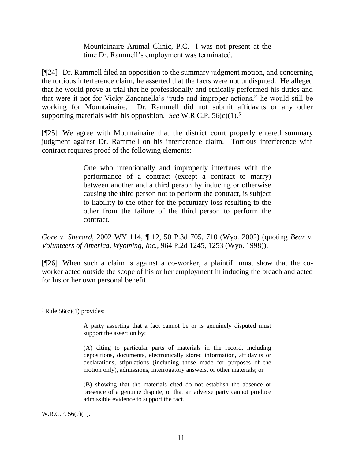Mountainaire Animal Clinic, P.C. I was not present at the time Dr. Rammell's employment was terminated.

[¶24] Dr. Rammell filed an opposition to the summary judgment motion, and concerning the tortious interference claim, he asserted that the facts were not undisputed. He alleged that he would prove at trial that he professionally and ethically performed his duties and that were it not for Vicky Zancanella's "rude and improper actions," he would still be working for Mountainaire. Dr. Rammell did not submit affidavits or any other supporting materials with his opposition. *See* W.R.C.P. 56(c)(1).<sup>5</sup>

[¶25] We agree with Mountainaire that the district court properly entered summary judgment against Dr. Rammell on his interference claim. Tortious interference with contract requires proof of the following elements:

> One who intentionally and improperly interferes with the performance of a contract (except a contract to marry) between another and a third person by inducing or otherwise causing the third person not to perform the contract, is subject to liability to the other for the pecuniary loss resulting to the other from the failure of the third person to perform the contract.

*Gore v. Sherard*, 2002 WY 114, ¶ 12, 50 P.3d 705, 710 (Wyo. 2002) (quoting *[Bear v.](http://www.westlaw.com/Link/Document/FullText?findType=Y&serNum=1998189870&pubNum=0000661&originatingDoc=Ia7112553f53911d99439b076ef9ec4de&refType=RP&fi=co_pp_sp_661_1253&originationContext=document&vr=3.0&rs=cblt1.0&transitionType=DocumentItem&contextData=(sc.Keycite)#co_pp_sp_661_1253)  [Volunteers of America, Wyoming, Inc.](http://www.westlaw.com/Link/Document/FullText?findType=Y&serNum=1998189870&pubNum=0000661&originatingDoc=Ia7112553f53911d99439b076ef9ec4de&refType=RP&fi=co_pp_sp_661_1253&originationContext=document&vr=3.0&rs=cblt1.0&transitionType=DocumentItem&contextData=(sc.Keycite)#co_pp_sp_661_1253)*, 964 P.2d 1245, 1253 (Wyo. 1998)).

[¶26] When such a claim is against a co-worker, a plaintiff must show that the coworker acted outside the scope of his or her employment in inducing the breach and acted for his or her own personal benefit.

A party asserting that a fact cannot be or is genuinely disputed must support the assertion by:

(A) citing to particular parts of materials in the record, including depositions, documents, electronically stored information, affidavits or declarations, stipulations (including those made for purposes of the motion only), admissions, interrogatory answers, or other materials; or

(B) showing that the materials cited do not establish the absence or presence of a genuine dispute, or that an adverse party cannot produce admissible evidence to support the fact.

W.R.C.P. 56(c)(1).

 $5$  Rule  $56(c)(1)$  provides: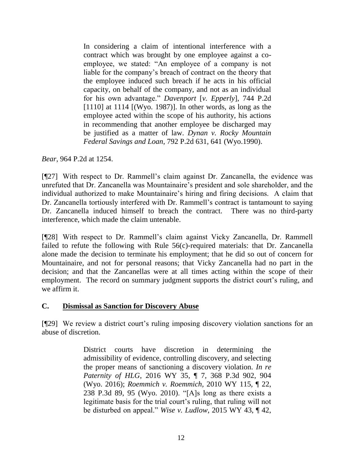In considering a claim of intentional interference with a contract which was brought by one employee against a coemployee, we stated: "An employee of a company is not liable for the company's breach of contract on the theory that the employee induced such breach if he acts in his official capacity, on behalf of the company, and not as an individual for his own advantage." *Davenport* [*v. Epperly*[\], 744 P.2d](http://www.westlaw.com/Link/Document/FullText?findType=Y&serNum=1987136832&pubNum=661&originatingDoc=Ie4457a30f56911d983e7e9deff98dc6f&refType=RP&fi=co_pp_sp_661_1114&originationContext=document&vr=3.0&rs=cblt1.0&transitionType=DocumentItem&contextData=(sc.UserEnteredCitation)#co_pp_sp_661_1114)  [\[1110\] at 1114](http://www.westlaw.com/Link/Document/FullText?findType=Y&serNum=1987136832&pubNum=661&originatingDoc=Ie4457a30f56911d983e7e9deff98dc6f&refType=RP&fi=co_pp_sp_661_1114&originationContext=document&vr=3.0&rs=cblt1.0&transitionType=DocumentItem&contextData=(sc.UserEnteredCitation)#co_pp_sp_661_1114) [(Wyo. 1987)]. In other words, as long as the employee acted within the scope of his authority, his actions in recommending that another employee be discharged may be justified as a matter of law. *[Dynan v. Rocky Mountain](http://www.westlaw.com/Link/Document/FullText?findType=Y&serNum=1990075365&pubNum=661&originatingDoc=Ie4457a30f56911d983e7e9deff98dc6f&refType=RP&fi=co_pp_sp_661_641&originationContext=document&vr=3.0&rs=cblt1.0&transitionType=DocumentItem&contextData=(sc.UserEnteredCitation)#co_pp_sp_661_641)  Federal Savings and Loan*[, 792 P.2d 631, 641 \(Wyo.1990\).](http://www.westlaw.com/Link/Document/FullText?findType=Y&serNum=1990075365&pubNum=661&originatingDoc=Ie4457a30f56911d983e7e9deff98dc6f&refType=RP&fi=co_pp_sp_661_641&originationContext=document&vr=3.0&rs=cblt1.0&transitionType=DocumentItem&contextData=(sc.UserEnteredCitation)#co_pp_sp_661_641)

*Bear*, 964 P.2d at 1254.

[¶27] With respect to Dr. Rammell's claim against Dr. Zancanella, the evidence was unrefuted that Dr. Zancanella was Mountainaire's president and sole shareholder, and the individual authorized to make Mountainaire's hiring and firing decisions. A claim that Dr. Zancanella tortiously interfered with Dr. Rammell's contract is tantamount to saying Dr. Zancanella induced himself to breach the contract. There was no third-party interference, which made the claim untenable.

[¶28] With respect to Dr. Rammell's claim against Vicky Zancanella, Dr. Rammell failed to refute the following with Rule 56(c)-required materials: that Dr. Zancanella alone made the decision to terminate his employment; that he did so out of concern for Mountainaire, and not for personal reasons; that Vicky Zancanella had no part in the decision; and that the Zancanellas were at all times acting within the scope of their employment. The record on summary judgment supports the district court's ruling, and we affirm it.

### **C. Dismissal as Sanction for Discovery Abuse**

[¶29] We review a district court's ruling imposing discovery violation sanctions for an abuse of discretion.

> District courts have discretion in determining the admissibility of evidence, controlling discovery, and selecting the proper means of sanctioning a discovery violation. *[In re](http://www.westlaw.com/Link/Document/FullText?findType=Y&serNum=2038459748&pubNum=0004645&originatingDoc=I745723b07a6a11e881e3e57c1f40e5c7&refType=RP&fi=co_pp_sp_4645_904&originationContext=document&vr=3.0&rs=cblt1.0&transitionType=DocumentItem&contextData=(sc.Search)#co_pp_sp_4645_904)  Paternity of HLG*[, 2016 WY 35, ¶ 7, 368 P.3d 902, 904](http://www.westlaw.com/Link/Document/FullText?findType=Y&serNum=2038459748&pubNum=0004645&originatingDoc=I745723b07a6a11e881e3e57c1f40e5c7&refType=RP&fi=co_pp_sp_4645_904&originationContext=document&vr=3.0&rs=cblt1.0&transitionType=DocumentItem&contextData=(sc.Search)#co_pp_sp_4645_904)  [\(Wyo. 2016\);](http://www.westlaw.com/Link/Document/FullText?findType=Y&serNum=2038459748&pubNum=0004645&originatingDoc=I745723b07a6a11e881e3e57c1f40e5c7&refType=RP&fi=co_pp_sp_4645_904&originationContext=document&vr=3.0&rs=cblt1.0&transitionType=DocumentItem&contextData=(sc.Search)#co_pp_sp_4645_904) *[Roemmich v. Roemmich](http://www.westlaw.com/Link/Document/FullText?findType=Y&serNum=2022728804&pubNum=0004645&originatingDoc=I745723b07a6a11e881e3e57c1f40e5c7&refType=RP&fi=co_pp_sp_4645_95&originationContext=document&vr=3.0&rs=cblt1.0&transitionType=DocumentItem&contextData=(sc.Search)#co_pp_sp_4645_95)*, 2010 WY 115, ¶ 22, [238 P.3d 89, 95 \(Wyo. 2010\).](http://www.westlaw.com/Link/Document/FullText?findType=Y&serNum=2022728804&pubNum=0004645&originatingDoc=I745723b07a6a11e881e3e57c1f40e5c7&refType=RP&fi=co_pp_sp_4645_95&originationContext=document&vr=3.0&rs=cblt1.0&transitionType=DocumentItem&contextData=(sc.Search)#co_pp_sp_4645_95) "[A]s long as there exists a legitimate basis for the trial court's ruling, that ruling will not be disturbed on appeal." *Wise v. Ludlow*[, 2015 WY 43, ¶ 42,](http://www.westlaw.com/Link/Document/FullText?findType=Y&serNum=2035665830&pubNum=0004645&originatingDoc=I745723b07a6a11e881e3e57c1f40e5c7&refType=RP&fi=co_pp_sp_4645_12&originationContext=document&vr=3.0&rs=cblt1.0&transitionType=DocumentItem&contextData=(sc.Search)#co_pp_sp_4645_12)